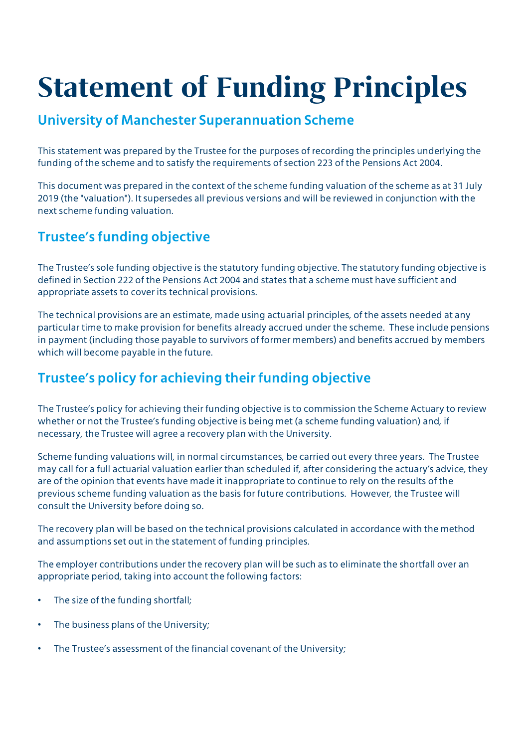# Statement of Funding Principles

#### University of Manchester Superannuation Scheme

This statement was prepared by the Trustee for the purposes of recording the principles underlying the funding of the scheme and to satisfy the requirements of section 223 of the Pensions Act 2004.

This document was prepared in the context of the scheme funding valuation of the scheme as at 31 July 2019 (the "valuation"). It supersedes all previous versions and will be reviewed in conjunction with the next scheme funding valuation.

## Trustee's funding objective

The Trustee's sole funding objective is the statutory funding objective. The statutory funding objective is defined in Section 222 of the Pensions Act 2004 and states that a scheme must have sufficient and appropriate assets to cover its technical provisions.

The technical provisions are an estimate, made using actuarial principles, of the assets needed at any particular time to make provision for benefits already accrued under the scheme. These include pensions in payment (including those payable to survivors of former members) and benefits accrued by members which will become payable in the future.

## Trustee's policy for achieving their funding objective

The Trustee's policy for achieving their funding objective is to commission the Scheme Actuary to review whether or not the Trustee's funding objective is being met (a scheme funding valuation) and, if necessary, the Trustee will agree a recovery plan with the University.

Scheme funding valuations will, in normal circumstances, be carried out every three years. The Trustee may call for a full actuarial valuation earlier than scheduled if, after considering the actuary's advice, they are of the opinion that events have made it inappropriate to continue to rely on the results of the previous scheme funding valuation as the basis for future contributions. However, the Trustee will consult the University before doing so.

The recovery plan will be based on the technical provisions calculated in accordance with the method and assumptions set out in the statement of funding principles.

The employer contributions under the recovery plan will be such as to eliminate the shortfall over an appropriate period, taking into account the following factors:

- The size of the funding shortfall;
- The business plans of the University;
- The Trustee's assessment of the financial covenant of the University;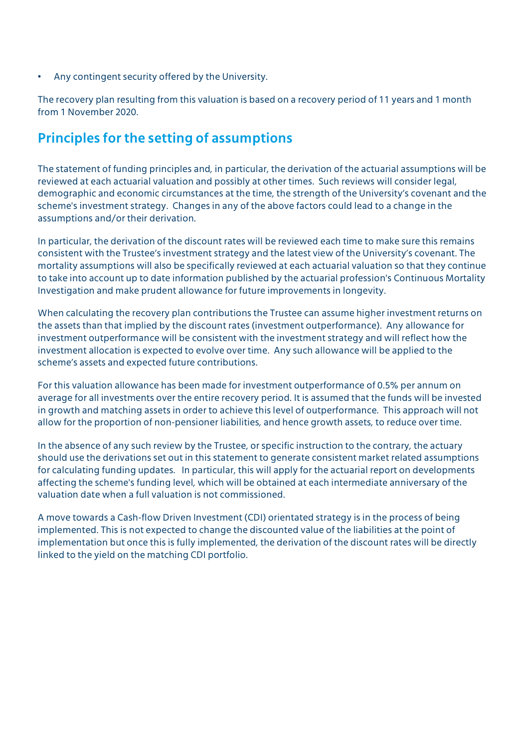• Any contingent security offered by the University.

The recovery plan resulting from this valuation is based on a recovery period of 11 years and 1 month from 1 November 2020.

#### Principles for the setting of assumptions

The statement of funding principles and, in particular, the derivation of the actuarial assumptions will be reviewed at each actuarial valuation and possibly at other times. Such reviews will consider legal, demographic and economic circumstances at the time, the strength of the University's covenant and the scheme's investment strategy. Changes in any of the above factors could lead to a change in the assumptions and/or their derivation.

In particular, the derivation of the discount rates will be reviewed each time to make sure this remains consistent with the Trustee's investment strategy and the latest view of the University's covenant. The mortality assumptions will also be specifically reviewed at each actuarial valuation so that they continue to take into account up to date information published by the actuarial profession's Continuous Mortality Investigation and make prudent allowance for future improvements in longevity.

When calculating the recovery plan contributions the Trustee can assume higher investment returns on the assets than that implied by the discount rates (investment outperformance). Any allowance for investment outperformance will be consistent with the investment strategy and will reflect how the investment allocation is expected to evolve over time. Any such allowance will be applied to the scheme's assets and expected future contributions.

For this valuation allowance has been made for investment outperformance of 0.5% per annum on average for all investments over the entire recovery period. It is assumed that the funds will be invested in growth and matching assets in order to achieve this level of outperformance. This approach will not allow for the proportion of non-pensioner liabilities, and hence growth assets, to reduce over time.

In the absence of any such review by the Trustee, or specific instruction to the contrary, the actuary should use the derivations set out in this statement to generate consistent market related assumptions for calculating funding updates. In particular, this will apply for the actuarial report on developments affecting the scheme's funding level, which will be obtained at each intermediate anniversary of the valuation date when a full valuation is not commissioned.

A move towards a Cash-flow Driven Investment (CDI) orientated strategy is in the process of being implemented. This is not expected to change the discounted value of the liabilities at the point of implementation but once this is fully implemented, the derivation of the discount rates will be directly linked to the yield on the matching CDI portfolio.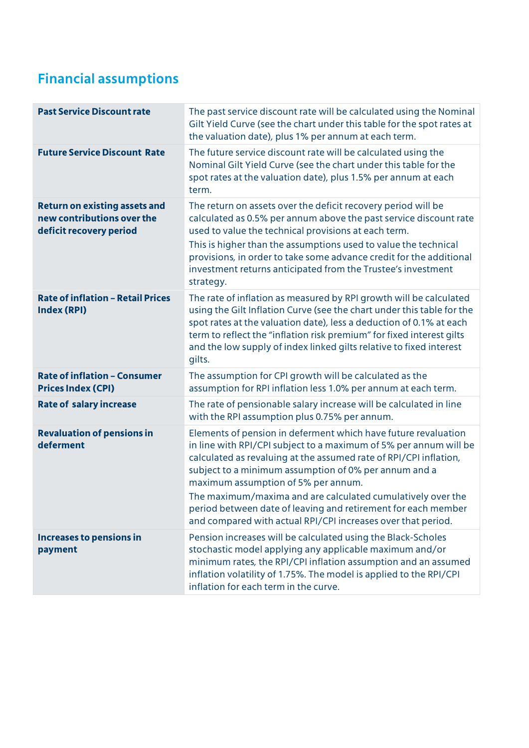## Financial assumptions

| <b>Past Service Discount rate</b>                                                             | The past service discount rate will be calculated using the Nominal<br>Gilt Yield Curve (see the chart under this table for the spot rates at<br>the valuation date), plus 1% per annum at each term.                                                                                                                                                                                                                                                                                                    |
|-----------------------------------------------------------------------------------------------|----------------------------------------------------------------------------------------------------------------------------------------------------------------------------------------------------------------------------------------------------------------------------------------------------------------------------------------------------------------------------------------------------------------------------------------------------------------------------------------------------------|
| <b>Future Service Discount Rate</b>                                                           | The future service discount rate will be calculated using the<br>Nominal Gilt Yield Curve (see the chart under this table for the<br>spot rates at the valuation date), plus 1.5% per annum at each<br>term.                                                                                                                                                                                                                                                                                             |
| <b>Return on existing assets and</b><br>new contributions over the<br>deficit recovery period | The return on assets over the deficit recovery period will be<br>calculated as 0.5% per annum above the past service discount rate<br>used to value the technical provisions at each term.<br>This is higher than the assumptions used to value the technical<br>provisions, in order to take some advance credit for the additional<br>investment returns anticipated from the Trustee's investment<br>strategy.                                                                                        |
| <b>Rate of inflation - Retail Prices</b><br><b>Index (RPI)</b>                                | The rate of inflation as measured by RPI growth will be calculated<br>using the Gilt Inflation Curve (see the chart under this table for the<br>spot rates at the valuation date), less a deduction of 0.1% at each<br>term to reflect the "inflation risk premium" for fixed interest gilts<br>and the low supply of index linked gilts relative to fixed interest<br>gilts.                                                                                                                            |
| <b>Rate of inflation - Consumer</b><br><b>Prices Index (CPI)</b>                              | The assumption for CPI growth will be calculated as the<br>assumption for RPI inflation less 1.0% per annum at each term.                                                                                                                                                                                                                                                                                                                                                                                |
| <b>Rate of salary increase</b>                                                                | The rate of pensionable salary increase will be calculated in line<br>with the RPI assumption plus 0.75% per annum.                                                                                                                                                                                                                                                                                                                                                                                      |
| <b>Revaluation of pensions in</b><br>deferment                                                | Elements of pension in deferment which have future revaluation<br>in line with RPI/CPI subject to a maximum of 5% per annum will be<br>calculated as revaluing at the assumed rate of RPI/CPI inflation,<br>subject to a minimum assumption of 0% per annum and a<br>maximum assumption of 5% per annum.<br>The maximum/maxima and are calculated cumulatively over the<br>period between date of leaving and retirement for each member<br>and compared with actual RPI/CPI increases over that period. |
| <b>Increases to pensions in</b><br>payment                                                    | Pension increases will be calculated using the Black-Scholes<br>stochastic model applying any applicable maximum and/or<br>minimum rates, the RPI/CPI inflation assumption and an assumed<br>inflation volatility of 1.75%. The model is applied to the RPI/CPI<br>inflation for each term in the curve.                                                                                                                                                                                                 |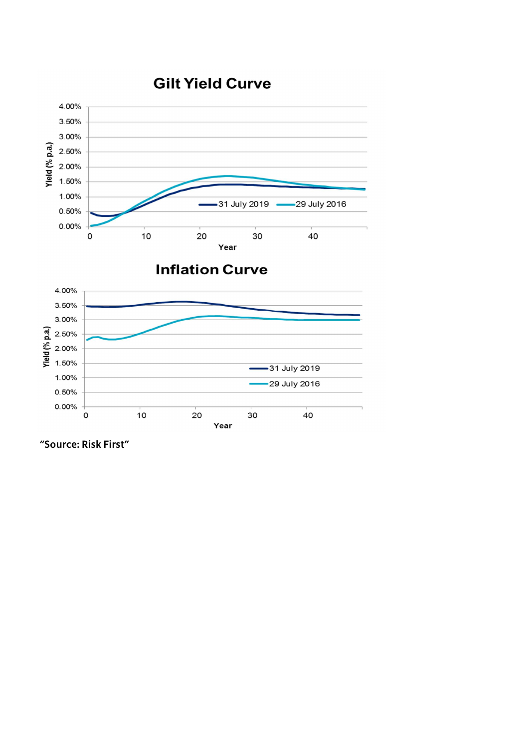## **Gilt Yield Curve**



#### **Inflation Curve**



"Source: Risk First"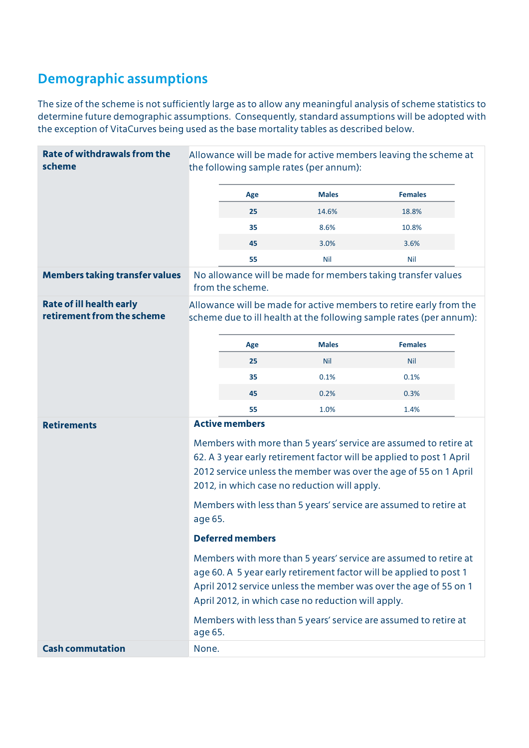## Demographic assumptions

The size of the scheme is not sufficiently large as to allow any meaningful analysis of scheme statistics to determine future demographic assumptions. Consequently, standard assumptions will be adopted with the exception of VitaCurves being used as the base mortality tables as described below.

| <b>Rate of withdrawals from the</b><br>scheme                 | Allowance will be made for active members leaving the scheme at<br>the following sample rates (per annum):                                                                                                                                                       |                                                                      |              |                                                              |  |  |
|---------------------------------------------------------------|------------------------------------------------------------------------------------------------------------------------------------------------------------------------------------------------------------------------------------------------------------------|----------------------------------------------------------------------|--------------|--------------------------------------------------------------|--|--|
|                                                               |                                                                                                                                                                                                                                                                  | Age                                                                  | <b>Males</b> | <b>Females</b>                                               |  |  |
|                                                               |                                                                                                                                                                                                                                                                  | 25                                                                   | 14.6%        | 18.8%                                                        |  |  |
|                                                               |                                                                                                                                                                                                                                                                  | 35                                                                   | 8.6%         | 10.8%                                                        |  |  |
|                                                               |                                                                                                                                                                                                                                                                  | 45                                                                   | 3.0%         | 3.6%                                                         |  |  |
|                                                               |                                                                                                                                                                                                                                                                  | 55                                                                   | Nil          | Nil                                                          |  |  |
| <b>Members taking transfer values</b>                         |                                                                                                                                                                                                                                                                  | from the scheme.                                                     |              | No allowance will be made for members taking transfer values |  |  |
| <b>Rate of ill health early</b><br>retirement from the scheme | Allowance will be made for active members to retire early from the<br>scheme due to ill health at the following sample rates (per annum):                                                                                                                        |                                                                      |              |                                                              |  |  |
|                                                               |                                                                                                                                                                                                                                                                  | Age                                                                  | <b>Males</b> | <b>Females</b>                                               |  |  |
|                                                               |                                                                                                                                                                                                                                                                  | 25                                                                   | <b>Nil</b>   | <b>Nil</b>                                                   |  |  |
|                                                               |                                                                                                                                                                                                                                                                  | 35                                                                   | 0.1%         | 0.1%                                                         |  |  |
|                                                               |                                                                                                                                                                                                                                                                  | 45                                                                   | 0.2%         | 0.3%                                                         |  |  |
|                                                               |                                                                                                                                                                                                                                                                  | 55                                                                   | 1.0%         | 1.4%                                                         |  |  |
| <b>Retirements</b>                                            |                                                                                                                                                                                                                                                                  | <b>Active members</b>                                                |              |                                                              |  |  |
|                                                               | Members with more than 5 years' service are assumed to retire at                                                                                                                                                                                                 |                                                                      |              |                                                              |  |  |
|                                                               |                                                                                                                                                                                                                                                                  | 62. A 3 year early retirement factor will be applied to post 1 April |              |                                                              |  |  |
|                                                               | 2012 service unless the member was over the age of 55 on 1 April<br>2012, in which case no reduction will apply.                                                                                                                                                 |                                                                      |              |                                                              |  |  |
|                                                               | Members with less than 5 years' service are assumed to retire at<br>age 65.                                                                                                                                                                                      |                                                                      |              |                                                              |  |  |
|                                                               | <b>Deferred members</b>                                                                                                                                                                                                                                          |                                                                      |              |                                                              |  |  |
|                                                               | Members with more than 5 years' service are assumed to retire at<br>age 60. A 5 year early retirement factor will be applied to post 1<br>April 2012 service unless the member was over the age of 55 on 1<br>April 2012, in which case no reduction will apply. |                                                                      |              |                                                              |  |  |
|                                                               | Members with less than 5 years' service are assumed to retire at<br>age 65.                                                                                                                                                                                      |                                                                      |              |                                                              |  |  |
| <b>Cash commutation</b>                                       | None.                                                                                                                                                                                                                                                            |                                                                      |              |                                                              |  |  |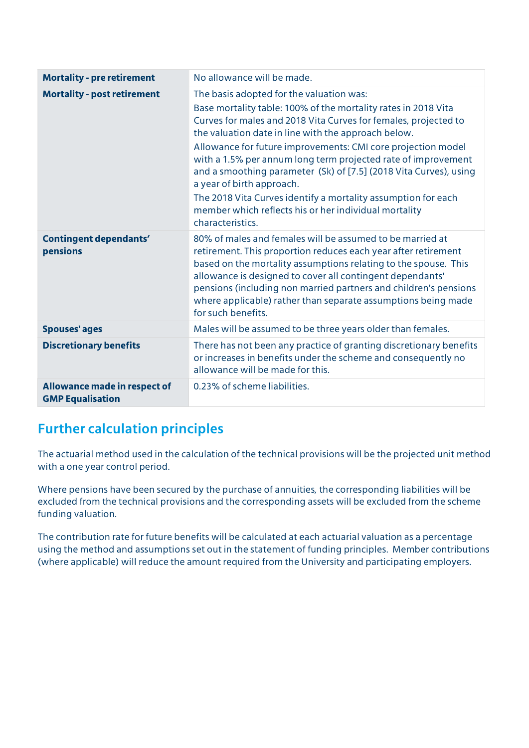| <b>Mortality - pre retirement</b>                       | No allowance will be made.                                                                                                                                                                                                                                                                                                                                                                                                                                                                                                                                                                                            |
|---------------------------------------------------------|-----------------------------------------------------------------------------------------------------------------------------------------------------------------------------------------------------------------------------------------------------------------------------------------------------------------------------------------------------------------------------------------------------------------------------------------------------------------------------------------------------------------------------------------------------------------------------------------------------------------------|
| <b>Mortality - post retirement</b>                      | The basis adopted for the valuation was:<br>Base mortality table: 100% of the mortality rates in 2018 Vita<br>Curves for males and 2018 Vita Curves for females, projected to<br>the valuation date in line with the approach below.<br>Allowance for future improvements: CMI core projection model<br>with a 1.5% per annum long term projected rate of improvement<br>and a smoothing parameter (Sk) of [7.5] (2018 Vita Curves), using<br>a year of birth approach.<br>The 2018 Vita Curves identify a mortality assumption for each<br>member which reflects his or her individual mortality<br>characteristics. |
| <b>Contingent dependants'</b><br>pensions               | 80% of males and females will be assumed to be married at<br>retirement. This proportion reduces each year after retirement<br>based on the mortality assumptions relating to the spouse. This<br>allowance is designed to cover all contingent dependants'<br>pensions (including non married partners and children's pensions<br>where applicable) rather than separate assumptions being made<br>for such benefits.                                                                                                                                                                                                |
| <b>Spouses' ages</b>                                    | Males will be assumed to be three years older than females.                                                                                                                                                                                                                                                                                                                                                                                                                                                                                                                                                           |
| <b>Discretionary benefits</b>                           | There has not been any practice of granting discretionary benefits<br>or increases in benefits under the scheme and consequently no<br>allowance will be made for this.                                                                                                                                                                                                                                                                                                                                                                                                                                               |
| Allowance made in respect of<br><b>GMP Equalisation</b> | 0.23% of scheme liabilities.                                                                                                                                                                                                                                                                                                                                                                                                                                                                                                                                                                                          |

#### Further calculation principles

The actuarial method used in the calculation of the technical provisions will be the projected unit method with a one year control period.

Where pensions have been secured by the purchase of annuities, the corresponding liabilities will be excluded from the technical provisions and the corresponding assets will be excluded from the scheme funding valuation.

The contribution rate for future benefits will be calculated at each actuarial valuation as a percentage using the method and assumptions set out in the statement of funding principles. Member contributions (where applicable) will reduce the amount required from the University and participating employers.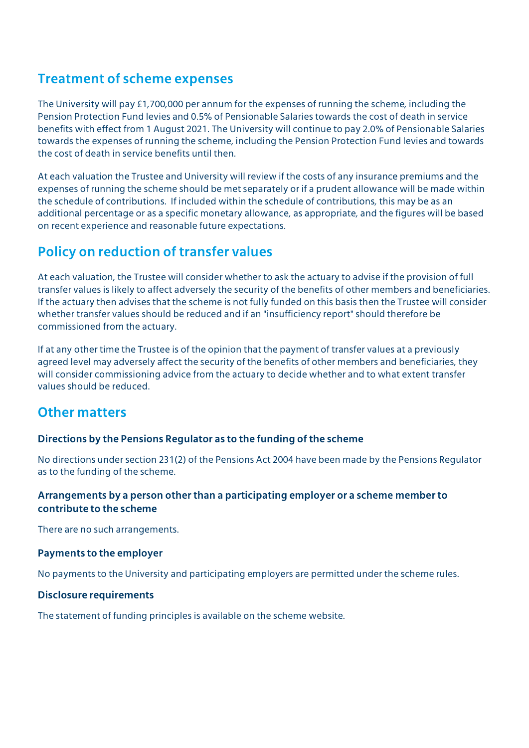#### Treatment of scheme expenses

The University will pay £1,700,000 per annum for the expenses of running the scheme, including the Pension Protection Fund levies and 0.5% of Pensionable Salaries towards the cost of death in service benefits with effect from 1 August 2021. The University will continue to pay 2.0% of Pensionable Salaries towards the expenses of running the scheme, including the Pension Protection Fund levies and towards the cost of death in service benefits until then.

At each valuation the Trustee and University will review if the costs of any insurance premiums and the expenses of running the scheme should be met separately or if a prudent allowance will be made within the schedule of contributions. If included within the schedule of contributions, this may be as an additional percentage or as a specific monetary allowance, as appropriate, and the figures will be based on recent experience and reasonable future expectations.

#### Policy on reduction of transfer values

At each valuation, the Trustee will consider whether to ask the actuary to advise if the provision of full transfer values is likely to affect adversely the security of the benefits of other members and beneficiaries. If the actuary then advises that the scheme is not fully funded on this basis then the Trustee will consider whether transfer values should be reduced and if an "insufficiency report" should therefore be commissioned from the actuary.

If at any other time the Trustee is of the opinion that the payment of transfer values at a previously agreed level may adversely affect the security of the benefits of other members and beneficiaries, they will consider commissioning advice from the actuary to decide whether and to what extent transfer values should be reduced.

#### Other matters

#### Directions by the Pensions Regulator as to the funding of the scheme

No directions under section 231(2) of the Pensions Act 2004 have been made by the Pensions Regulator as to the funding of the scheme.

#### Arrangements by a person other than a participating employer or a scheme member to contribute to the scheme

There are no such arrangements.

#### Payments to the employer

No payments to the University and participating employers are permitted under the scheme rules.

#### Disclosure requirements

The statement of funding principles is available on the scheme website.